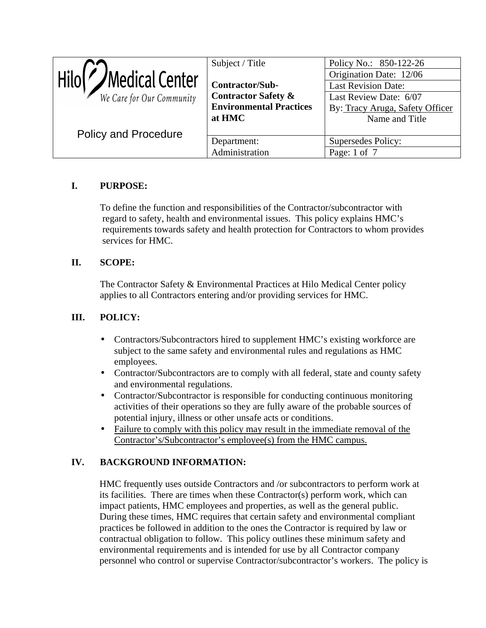| $\vert$ Hilo $\vert$ /Medical Center<br>We Care for Our Community | Subject / Title<br>Contractor/Sub-<br><b>Contractor Safety &amp;</b><br><b>Environmental Practices</b><br>at HMC | Policy No.: 850-122-26<br>Origination Date: 12/06<br><b>Last Revision Date:</b><br>Last Review Date: 6/07<br>By: Tracy Aruga, Safety Officer<br>Name and Title |
|-------------------------------------------------------------------|------------------------------------------------------------------------------------------------------------------|----------------------------------------------------------------------------------------------------------------------------------------------------------------|
| <b>Policy and Procedure</b>                                       | Department:<br>Administration                                                                                    | Supersedes Policy:<br>Page: 1 of 7                                                                                                                             |

# **I. PURPOSE:**

 To define the function and responsibilities of the Contractor/subcontractor with regard to safety, health and environmental issues. This policy explains HMC's requirements towards safety and health protection for Contractors to whom provides services for HMC.

## **II. SCOPE:**

 The Contractor Safety & Environmental Practices at Hilo Medical Center policy applies to all Contractors entering and/or providing services for HMC.

## **III. POLICY:**

- Contractors/Subcontractors hired to supplement HMC's existing workforce are subject to the same safety and environmental rules and regulations as HMC employees.
- Contractor/Subcontractors are to comply with all federal, state and county safety and environmental regulations.
- Contractor/Subcontractor is responsible for conducting continuous monitoring activities of their operations so they are fully aware of the probable sources of potential injury, illness or other unsafe acts or conditions.
- Failure to comply with this policy may result in the immediate removal of the Contractor's/Subcontractor's employee(s) from the HMC campus.

# **IV. BACKGROUND INFORMATION:**

 HMC frequently uses outside Contractors and /or subcontractors to perform work at its facilities. There are times when these Contractor(s) perform work, which can impact patients, HMC employees and properties, as well as the general public. During these times, HMC requires that certain safety and environmental compliant practices be followed in addition to the ones the Contractor is required by law or contractual obligation to follow. This policy outlines these minimum safety and environmental requirements and is intended for use by all Contractor company personnel who control or supervise Contractor/subcontractor's workers. The policy is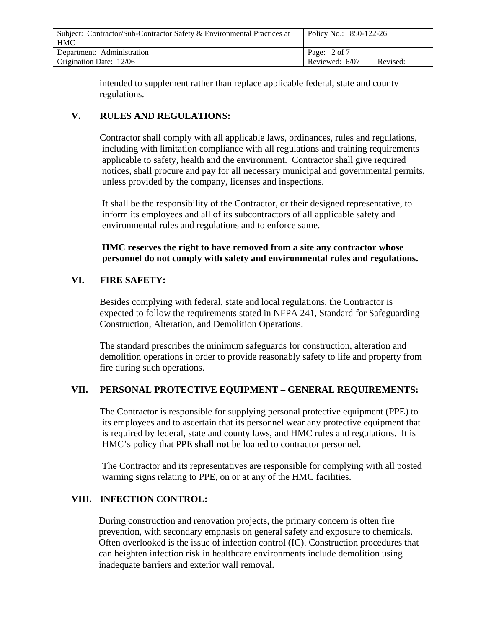| Subject: Contractor/Sub-Contractor Safety & Environmental Practices at<br><b>HMC</b> | Policy No.: 850-122-26     |
|--------------------------------------------------------------------------------------|----------------------------|
| Department: Administration                                                           | Page: $2 \text{ of } 7$    |
| Origination Date: 12/06                                                              | Reviewed: 6/07<br>Revised: |

 intended to supplement rather than replace applicable federal, state and county regulations.

## **V. RULES AND REGULATIONS:**

 Contractor shall comply with all applicable laws, ordinances, rules and regulations, including with limitation compliance with all regulations and training requirements applicable to safety, health and the environment. Contractor shall give required notices, shall procure and pay for all necessary municipal and governmental permits, unless provided by the company, licenses and inspections.

 It shall be the responsibility of the Contractor, or their designed representative, to inform its employees and all of its subcontractors of all applicable safety and environmental rules and regulations and to enforce same.

### **HMC reserves the right to have removed from a site any contractor whose personnel do not comply with safety and environmental rules and regulations.**

## **VI. FIRE SAFETY:**

 Besides complying with federal, state and local regulations, the Contractor is expected to follow the requirements stated in NFPA 241, Standard for Safeguarding Construction, Alteration, and Demolition Operations.

 The standard prescribes the minimum safeguards for construction, alteration and demolition operations in order to provide reasonably safety to life and property from fire during such operations.

#### **VII. PERSONAL PROTECTIVE EQUIPMENT – GENERAL REQUIREMENTS:**

 The Contractor is responsible for supplying personal protective equipment (PPE) to its employees and to ascertain that its personnel wear any protective equipment that is required by federal, state and county laws, and HMC rules and regulations. It is HMC's policy that PPE **shall not** be loaned to contractor personnel.

 The Contractor and its representatives are responsible for complying with all posted warning signs relating to PPE, on or at any of the HMC facilities.

#### **VIII. INFECTION CONTROL:**

 During construction and renovation projects, the primary concern is often fire prevention, with secondary emphasis on general safety and exposure to chemicals. Often overlooked is the issue of infection control (IC). Construction procedures that can heighten infection risk in healthcare environments include demolition using inadequate barriers and exterior wall removal.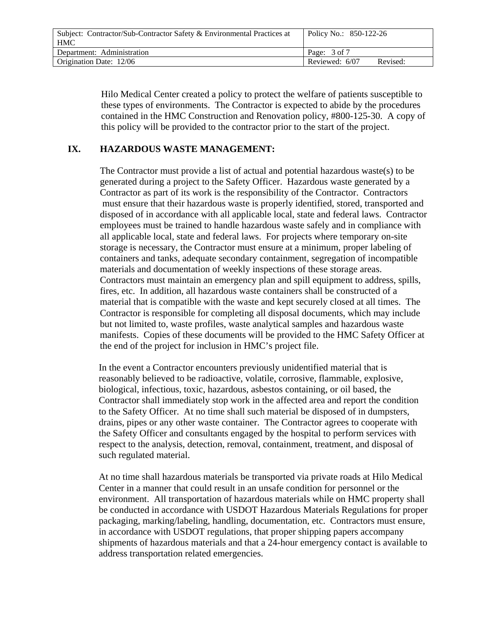| Subject: Contractor/Sub-Contractor Safety & Environmental Practices at<br><b>HMC</b> | Policy No.: 850-122-26     |
|--------------------------------------------------------------------------------------|----------------------------|
| Department: Administration                                                           | Page: $3 \text{ of } 7$    |
| Origination Date: 12/06                                                              | Reviewed: 6/07<br>Revised: |

 Hilo Medical Center created a policy to protect the welfare of patients susceptible to these types of environments. The Contractor is expected to abide by the procedures contained in the HMC Construction and Renovation policy, #800-125-30. A copy of this policy will be provided to the contractor prior to the start of the project.

#### **IX. HAZARDOUS WASTE MANAGEMENT:**

 The Contractor must provide a list of actual and potential hazardous waste(s) to be generated during a project to the Safety Officer. Hazardous waste generated by a Contractor as part of its work is the responsibility of the Contractor. Contractors must ensure that their hazardous waste is properly identified, stored, transported and disposed of in accordance with all applicable local, state and federal laws. Contractor employees must be trained to handle hazardous waste safely and in compliance with all applicable local, state and federal laws. For projects where temporary on-site storage is necessary, the Contractor must ensure at a minimum, proper labeling of containers and tanks, adequate secondary containment, segregation of incompatible materials and documentation of weekly inspections of these storage areas. Contractors must maintain an emergency plan and spill equipment to address, spills, fires, etc. In addition, all hazardous waste containers shall be constructed of a material that is compatible with the waste and kept securely closed at all times. The Contractor is responsible for completing all disposal documents, which may include but not limited to, waste profiles, waste analytical samples and hazardous waste manifests. Copies of these documents will be provided to the HMC Safety Officer at the end of the project for inclusion in HMC's project file.

 In the event a Contractor encounters previously unidentified material that is reasonably believed to be radioactive, volatile, corrosive, flammable, explosive, biological, infectious, toxic, hazardous, asbestos containing, or oil based, the Contractor shall immediately stop work in the affected area and report the condition to the Safety Officer. At no time shall such material be disposed of in dumpsters, drains, pipes or any other waste container. The Contractor agrees to cooperate with the Safety Officer and consultants engaged by the hospital to perform services with respect to the analysis, detection, removal, containment, treatment, and disposal of such regulated material.

 At no time shall hazardous materials be transported via private roads at Hilo Medical Center in a manner that could result in an unsafe condition for personnel or the environment. All transportation of hazardous materials while on HMC property shall be conducted in accordance with USDOT Hazardous Materials Regulations for proper packaging, marking/labeling, handling, documentation, etc. Contractors must ensure, in accordance with USDOT regulations, that proper shipping papers accompany shipments of hazardous materials and that a 24-hour emergency contact is available to address transportation related emergencies.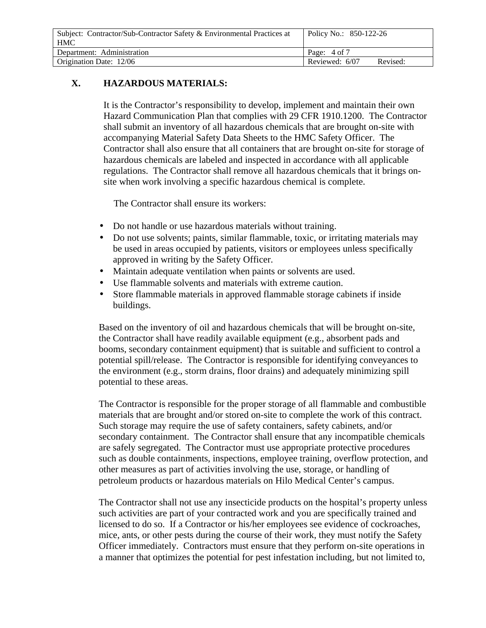| Subject: Contractor/Sub-Contractor Safety & Environmental Practices at<br><b>HMC</b> | Policy No.: 850-122-26     |
|--------------------------------------------------------------------------------------|----------------------------|
| Department: Administration                                                           | Page: 4 of 7               |
| Origination Date: 12/06                                                              | Reviewed: 6/07<br>Revised: |

## **X. HAZARDOUS MATERIALS:**

 It is the Contractor's responsibility to develop, implement and maintain their own Hazard Communication Plan that complies with 29 CFR 1910.1200. The Contractor shall submit an inventory of all hazardous chemicals that are brought on-site with accompanying Material Safety Data Sheets to the HMC Safety Officer. The Contractor shall also ensure that all containers that are brought on-site for storage of hazardous chemicals are labeled and inspected in accordance with all applicable regulations. The Contractor shall remove all hazardous chemicals that it brings on site when work involving a specific hazardous chemical is complete.

The Contractor shall ensure its workers:

- Do not handle or use hazardous materials without training.
- Do not use solvents; paints, similar flammable, toxic, or irritating materials may be used in areas occupied by patients, visitors or employees unless specifically approved in writing by the Safety Officer.
- Maintain adequate ventilation when paints or solvents are used.
- Use flammable solvents and materials with extreme caution.
- Store flammable materials in approved flammable storage cabinets if inside buildings.

 Based on the inventory of oil and hazardous chemicals that will be brought on-site, the Contractor shall have readily available equipment (e.g., absorbent pads and booms, secondary containment equipment) that is suitable and sufficient to control a potential spill/release. The Contractor is responsible for identifying conveyances to the environment (e.g., storm drains, floor drains) and adequately minimizing spill potential to these areas.

 The Contractor is responsible for the proper storage of all flammable and combustible materials that are brought and/or stored on-site to complete the work of this contract. Such storage may require the use of safety containers, safety cabinets, and/or secondary containment. The Contractor shall ensure that any incompatible chemicals are safely segregated. The Contractor must use appropriate protective procedures such as double containments, inspections, employee training, overflow protection, and other measures as part of activities involving the use, storage, or handling of petroleum products or hazardous materials on Hilo Medical Center's campus.

 The Contractor shall not use any insecticide products on the hospital's property unless such activities are part of your contracted work and you are specifically trained and licensed to do so. If a Contractor or his/her employees see evidence of cockroaches, mice, ants, or other pests during the course of their work, they must notify the Safety Officer immediately. Contractors must ensure that they perform on-site operations in a manner that optimizes the potential for pest infestation including, but not limited to,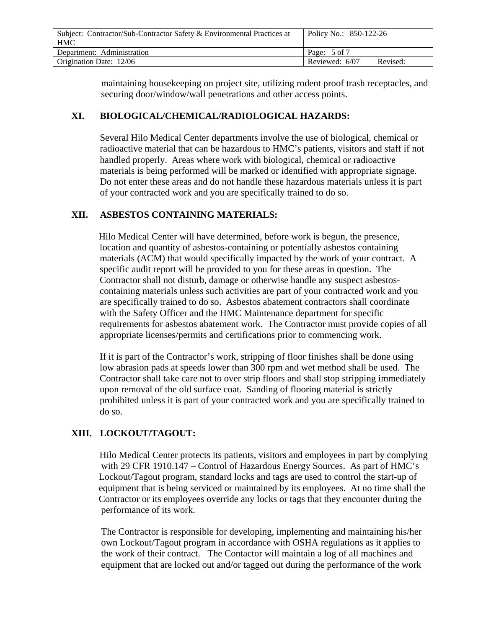| Subject: Contractor/Sub-Contractor Safety & Environmental Practices at<br><b>HMC</b> | Policy No.: 850-122-26     |
|--------------------------------------------------------------------------------------|----------------------------|
| Department: Administration                                                           | Page: 5 of 7               |
| Origination Date: 12/06                                                              | Reviewed: 6/07<br>Revised: |

 maintaining housekeeping on project site, utilizing rodent proof trash receptacles, and securing door/window/wall penetrations and other access points.

#### **XI. BIOLOGICAL/CHEMICAL/RADIOLOGICAL HAZARDS:**

 Several Hilo Medical Center departments involve the use of biological, chemical or radioactive material that can be hazardous to HMC's patients, visitors and staff if not handled properly. Areas where work with biological, chemical or radioactive materials is being performed will be marked or identified with appropriate signage. Do not enter these areas and do not handle these hazardous materials unless it is part of your contracted work and you are specifically trained to do so.

## **XII. ASBESTOS CONTAINING MATERIALS:**

 Hilo Medical Center will have determined, before work is begun, the presence, location and quantity of asbestos-containing or potentially asbestos containing materials (ACM) that would specifically impacted by the work of your contract. A specific audit report will be provided to you for these areas in question. The Contractor shall not disturb, damage or otherwise handle any suspect asbestos containing materials unless such activities are part of your contracted work and you are specifically trained to do so. Asbestos abatement contractors shall coordinate with the Safety Officer and the HMC Maintenance department for specific requirements for asbestos abatement work. The Contractor must provide copies of all appropriate licenses/permits and certifications prior to commencing work.

 If it is part of the Contractor's work, stripping of floor finishes shall be done using low abrasion pads at speeds lower than 300 rpm and wet method shall be used. The Contractor shall take care not to over strip floors and shall stop stripping immediately upon removal of the old surface coat. Sanding of flooring material is strictly prohibited unless it is part of your contracted work and you are specifically trained to do so.

# **XIII. LOCKOUT/TAGOUT:**

 Hilo Medical Center protects its patients, visitors and employees in part by complying with 29 CFR 1910.147 – Control of Hazardous Energy Sources. As part of HMC's Lockout/Tagout program, standard locks and tags are used to control the start-up of equipment that is being serviced or maintained by its employees. At no time shall the Contractor or its employees override any locks or tags that they encounter during the performance of its work.

 The Contractor is responsible for developing, implementing and maintaining his/her own Lockout/Tagout program in accordance with OSHA regulations as it applies to the work of their contract. The Contactor will maintain a log of all machines and equipment that are locked out and/or tagged out during the performance of the work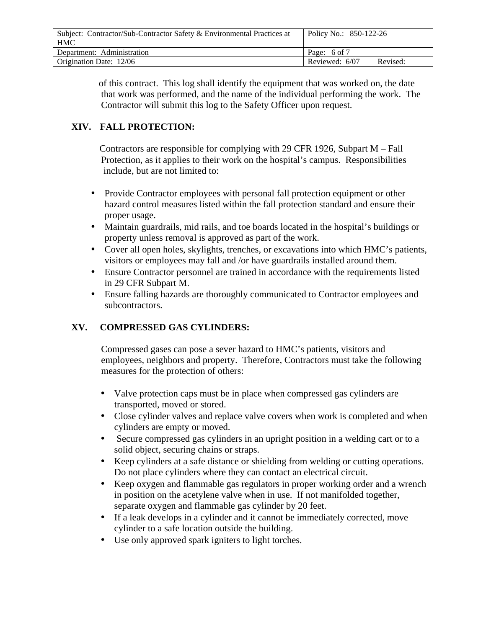| Subject: Contractor/Sub-Contractor Safety & Environmental Practices at<br><b>HMC</b> | Policy No.: 850-122-26     |
|--------------------------------------------------------------------------------------|----------------------------|
| Department: Administration                                                           | Page: 6 of 7               |
| Origination Date: 12/06                                                              | Reviewed: 6/07<br>Revised: |

 of this contract. This log shall identify the equipment that was worked on, the date that work was performed, and the name of the individual performing the work. The Contractor will submit this log to the Safety Officer upon request.

# **XIV. FALL PROTECTION:**

Contractors are responsible for complying with 29 CFR 1926, Subpart M – Fall Protection, as it applies to their work on the hospital's campus. Responsibilities include, but are not limited to:

- Provide Contractor employees with personal fall protection equipment or other hazard control measures listed within the fall protection standard and ensure their proper usage.
- Maintain guardrails, mid rails, and toe boards located in the hospital's buildings or property unless removal is approved as part of the work.
- Cover all open holes, skylights, trenches, or excavations into which HMC's patients, visitors or employees may fall and /or have guardrails installed around them.
- Ensure Contractor personnel are trained in accordance with the requirements listed in 29 CFR Subpart M.
- Ensure falling hazards are thoroughly communicated to Contractor employees and subcontractors.

# **XV. COMPRESSED GAS CYLINDERS:**

 Compressed gases can pose a sever hazard to HMC's patients, visitors and employees, neighbors and property. Therefore, Contractors must take the following measures for the protection of others:

- Valve protection caps must be in place when compressed gas cylinders are transported, moved or stored.
- Close cylinder valves and replace valve covers when work is completed and when cylinders are empty or moved.
- Secure compressed gas cylinders in an upright position in a welding cart or to a solid object, securing chains or straps.
- Keep cylinders at a safe distance or shielding from welding or cutting operations. Do not place cylinders where they can contact an electrical circuit.
- Keep oxygen and flammable gas regulators in proper working order and a wrench in position on the acetylene valve when in use. If not manifolded together, separate oxygen and flammable gas cylinder by 20 feet.
- If a leak develops in a cylinder and it cannot be immediately corrected, move cylinder to a safe location outside the building.
- Use only approved spark igniters to light torches.